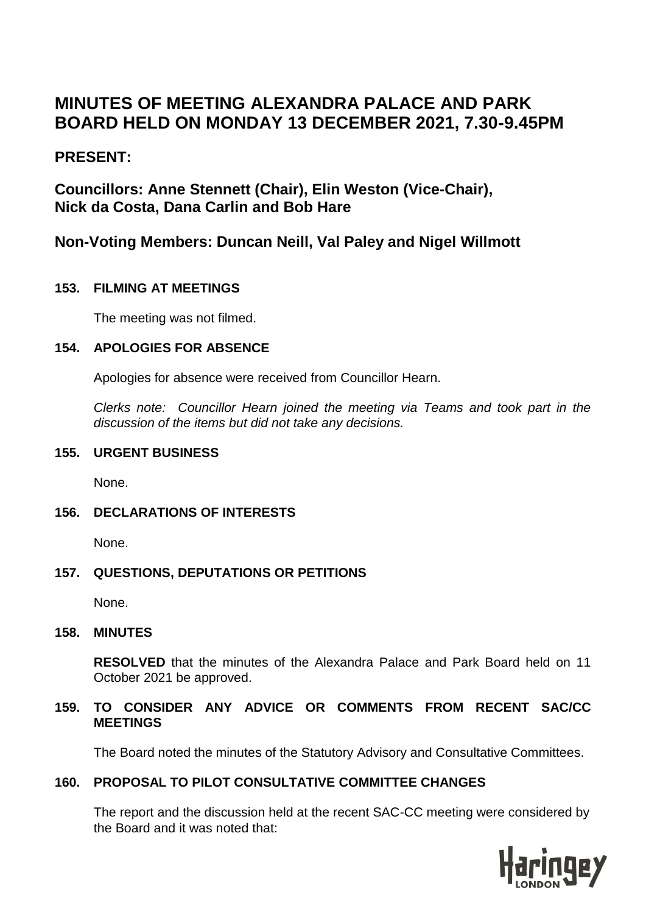# **MINUTES OF MEETING ALEXANDRA PALACE AND PARK BOARD HELD ON MONDAY 13 DECEMBER 2021, 7.30-9.45PM**

## **PRESENT:**

**Councillors: Anne Stennett (Chair), Elin Weston (Vice-Chair), Nick da Costa, Dana Carlin and Bob Hare** 

## **Non-Voting Members: Duncan Neill, Val Paley and Nigel Willmott**

## **153. FILMING AT MEETINGS**

The meeting was not filmed.

## **154. APOLOGIES FOR ABSENCE**

Apologies for absence were received from Councillor Hearn.

*Clerks note: Councillor Hearn joined the meeting via Teams and took part in the discussion of the items but did not take any decisions.*

#### **155. URGENT BUSINESS**

None.

## **156. DECLARATIONS OF INTERESTS**

None.

## **157. QUESTIONS, DEPUTATIONS OR PETITIONS**

None.

## **158. MINUTES**

**RESOLVED** that the minutes of the Alexandra Palace and Park Board held on 11 October 2021 be approved.

#### **159. TO CONSIDER ANY ADVICE OR COMMENTS FROM RECENT SAC/CC MEETINGS**

The Board noted the minutes of the Statutory Advisory and Consultative Committees.

## **160. PROPOSAL TO PILOT CONSULTATIVE COMMITTEE CHANGES**

The report and the discussion held at the recent SAC-CC meeting were considered by the Board and it was noted that:

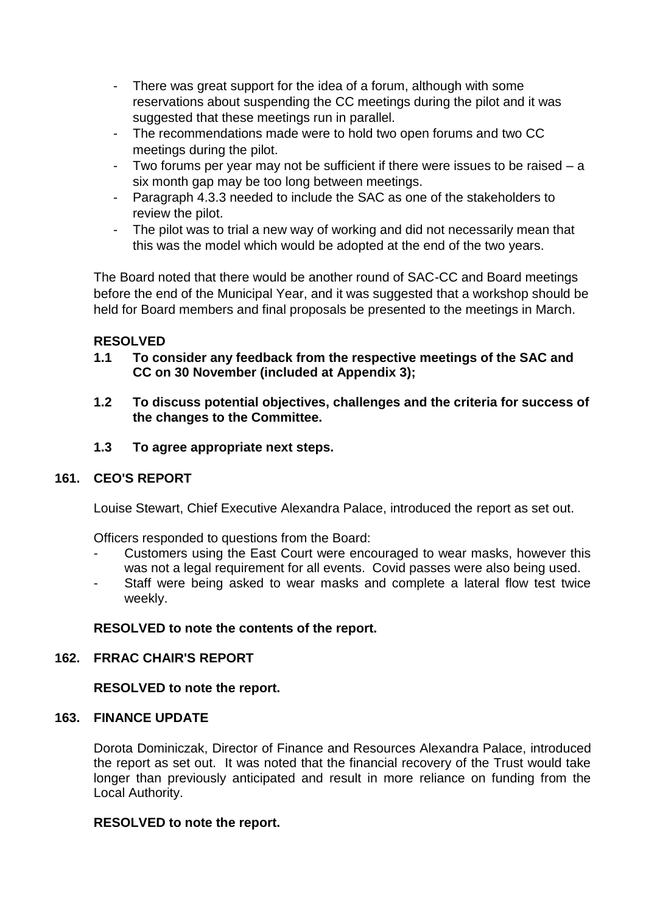- There was great support for the idea of a forum, although with some reservations about suspending the CC meetings during the pilot and it was suggested that these meetings run in parallel.
- The recommendations made were to hold two open forums and two CC meetings during the pilot.
- Two forums per year may not be sufficient if there were issues to be raised a six month gap may be too long between meetings.
- Paragraph 4.3.3 needed to include the SAC as one of the stakeholders to review the pilot.
- The pilot was to trial a new way of working and did not necessarily mean that this was the model which would be adopted at the end of the two years.

The Board noted that there would be another round of SAC-CC and Board meetings before the end of the Municipal Year, and it was suggested that a workshop should be held for Board members and final proposals be presented to the meetings in March.

## **RESOLVED**

- **1.1 To consider any feedback from the respective meetings of the SAC and CC on 30 November (included at Appendix 3);**
- **1.2 To discuss potential objectives, challenges and the criteria for success of the changes to the Committee.**
- **1.3 To agree appropriate next steps.**

## **161. CEO'S REPORT**

Louise Stewart, Chief Executive Alexandra Palace, introduced the report as set out.

Officers responded to questions from the Board:

- Customers using the East Court were encouraged to wear masks, however this was not a legal requirement for all events. Covid passes were also being used.
- Staff were being asked to wear masks and complete a lateral flow test twice weekly.

#### **RESOLVED to note the contents of the report.**

#### **162. FRRAC CHAIR'S REPORT**

#### **RESOLVED to note the report.**

#### **163. FINANCE UPDATE**

Dorota Dominiczak, Director of Finance and Resources Alexandra Palace, introduced the report as set out. It was noted that the financial recovery of the Trust would take longer than previously anticipated and result in more reliance on funding from the Local Authority.

#### **RESOLVED to note the report.**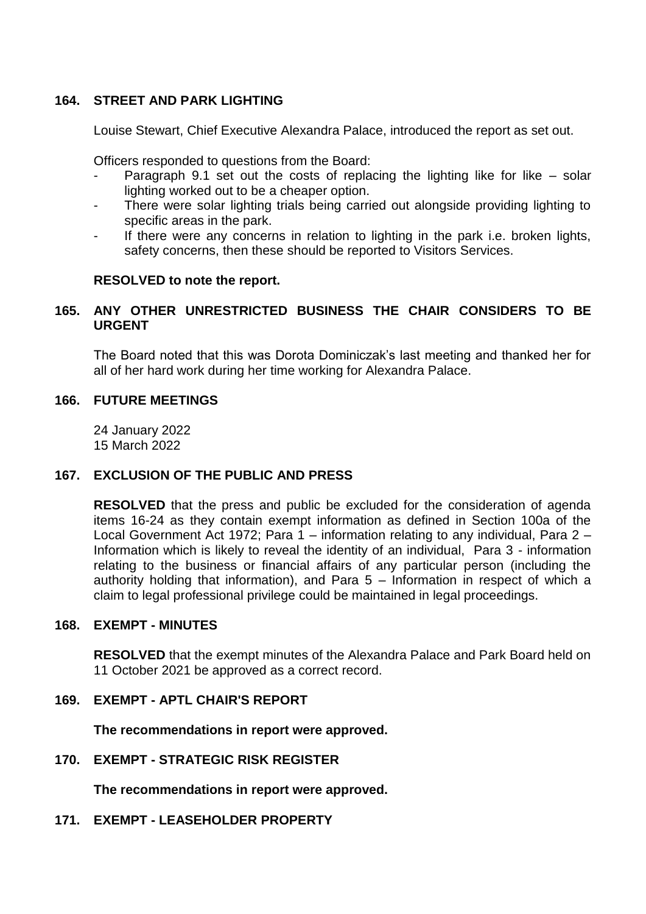#### **164. STREET AND PARK LIGHTING**

Louise Stewart, Chief Executive Alexandra Palace, introduced the report as set out.

Officers responded to questions from the Board:

- Paragraph 9.1 set out the costs of replacing the lighting like for like  $-$  solar lighting worked out to be a cheaper option.
- There were solar lighting trials being carried out alongside providing lighting to specific areas in the park.
- If there were any concerns in relation to lighting in the park i.e. broken lights, safety concerns, then these should be reported to Visitors Services.

#### **RESOLVED to note the report.**

#### **165. ANY OTHER UNRESTRICTED BUSINESS THE CHAIR CONSIDERS TO BE URGENT**

The Board noted that this was Dorota Dominiczak's last meeting and thanked her for all of her hard work during her time working for Alexandra Palace.

#### **166. FUTURE MEETINGS**

24 January 2022 15 March 2022

#### **167. EXCLUSION OF THE PUBLIC AND PRESS**

**RESOLVED** that the press and public be excluded for the consideration of agenda items 16-24 as they contain exempt information as defined in Section 100a of the Local Government Act 1972; Para 1 – information relating to any individual, Para 2 – Information which is likely to reveal the identity of an individual, Para 3 - information relating to the business or financial affairs of any particular person (including the authority holding that information), and Para 5 – Information in respect of which a claim to legal professional privilege could be maintained in legal proceedings.

#### **168. EXEMPT - MINUTES**

**RESOLVED** that the exempt minutes of the Alexandra Palace and Park Board held on 11 October 2021 be approved as a correct record.

#### **169. EXEMPT - APTL CHAIR'S REPORT**

**The recommendations in report were approved.**

**170. EXEMPT - STRATEGIC RISK REGISTER**

**The recommendations in report were approved.**

**171. EXEMPT - LEASEHOLDER PROPERTY**